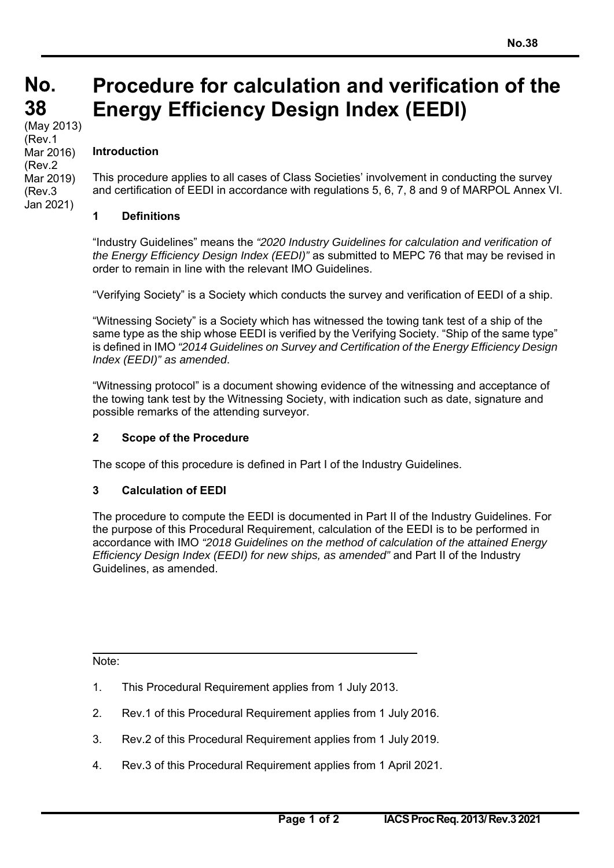#### **No. 38 38**  (May 2013) **Procedure for calculation and verification of the Energy Efficiency Design Index (EEDI)**

#### **Introduction**  (Rev.1 Mar 2016) (Rev.2 Mar 2019)

(Rev.3 Jan 2021) This procedure applies to all cases of Class Societies' involvement in conducting the survey and certification of EEDI in accordance with regulations 5, 6, 7, 8 and 9 of MARPOL Annex VI.

# **1 Definitions**

"Industry Guidelines" means the *"2020 Industry Guidelines for calculation and verification of the Energy Efficiency Design Index (EEDI)"* as submitted to MEPC 76 that may be revised in order to remain in line with the relevant IMO Guidelines.

"Verifying Society" is a Society which conducts the survey and verification of EEDI of a ship.

"Witnessing Society" is a Society which has witnessed the towing tank test of a ship of the same type as the ship whose EEDI is verified by the Verifying Society. "Ship of the same type" is defined in IMO *"2014 Guidelines on Survey and Certification of the Energy Efficiency Design Index (EEDI)" as amended*.

"Witnessing protocol" is a document showing evidence of the witnessing and acceptance of the towing tank test by the Witnessing Society, with indication such as date, signature and possible remarks of the attending surveyor.

# **2 Scope of the Procedure**

The scope of this procedure is defined in Part I of the Industry Guidelines.

# **3 Calculation of EEDI**

The procedure to compute the EEDI is documented in Part II of the Industry Guidelines. For the purpose of this Procedural Requirement, calculation of the EEDI is to be performed in accordance with IMO *"2018 Guidelines on the method of calculation of the attained Energy Efficiency Design Index (EEDI) for new ships, as amended"* and Part II of the Industry Guidelines, as amended.

Note:

- 1. This Procedural Requirement applies from 1 July 2013.
- 2. Rev.1 of this Procedural Requirement applies from 1 July 2016.
- 3. Rev.2 of this Procedural Requirement applies from 1 July 2019.
- 4. Rev.3 of this Procedural Requirement applies from 1 April 2021.